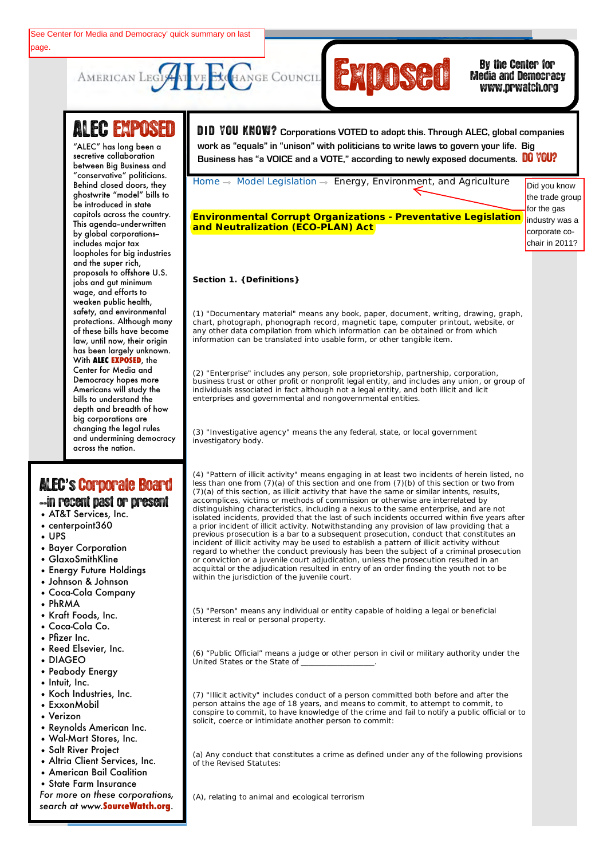

## Media and Democracy www.prwatch.org

# **ALEC EXPOSED**

AMERICAN LEGIS

between Big Business and Behind closed doors, they **Civil Justice** be introduced in state capitols across the country.<br>———————————————————— This agenda–underwritten **Development** by global corporations-- **Education** loopholes for big industries **Energy, Environment,** proposals to offshore U.S. jobs and gut minimum **Federal Relations** weaken public health, **Health and Chances** protections. Although many law, until now, their origin **Public Safety and** With **ALEC EXPOSED**, the **Elections** Center for Media and Americans will study the depth and breadth of how **and Information** big corporations are **Technology** changing the legal rules across the nation. "ALEC" has long been a secretive collaboration "conservative" politicians. ghostwrite "model" bills to includes major tax and the super rich, wage, and efforts to safety, and environmental of these bills have become has been largely unknown. Democracy hopes more bills to understand the and undermining democracy

# Email this Page ALEC**'**s'Corporate Board

Text-Only Page

### --in recent past or present

- AT&T Services, Inc.
- centerpoint360
- UPS
- Bayer Corporation
- GlaxoSmithKline
- Energy Future Holdings
- Johnson & Johnson
- Coca-Cola Company
- PhRMA
- Kraft Foods, Inc.
- Coca-Cola Co.
- Pfizer Inc.
- Reed Elsevier, Inc.
- DIAGEO
- Peabody Energy
- Intuit, Inc.
- Koch Industries, Inc.
- ExxonMobil
- Verizon
- Reynolds American Inc.
- Wal-Mart Stores, Inc.
- Salt River Project
- Altria Client Services, Inc.
- American Bail Coalition
- State Farm Insurance

*For more on these corporations, search at www.***SourceWatch.org**.

**LEG EAPUSEU** UD YOU KNOW? Corporations VOTED to adopt this. Through ALEC, global companies ABOUT MEMBERS ALT MEMBERS IN A MEMBERS MODEL AND TRIMATIVE OF A MEMBERS ALECT INTO A MEMBERS ALECT INITIATIVES<br>Alternative collaboration **of the Substitute of Business has "a VOICE** and a VOTE," according to newly exposed **work as "equals" in "unison" with politicians to write laws to govern your life. Big** 

Home  $\rightarrow$  Model Legislation  $\rightarrow$  Energy, Environment, and Agriculture

**Environmental Corrupt Organizations - Preventative Legislation and Neutralization (ECO-PLAN) Act**

Did you know the trade group for the gas industry was a corporate cochair in 2011?

### **Section 1. {Definitions}**

(1) "Documentary material" means any book, paper, document, writing, drawing, graph, chart, photograph, phonograph record, magnetic tape, computer printout, website, or any other data compilation from which information can be obtained or from which information can be translated into usable form, or other tangible item.

(2) "Enterprise" includes any person, sole proprietorship, partnership, corporation, business trust or other profit or nonprofit legal entity, and includes any union, or group of individuals associated in fact although not a legal entity, and both illicit and licit enterprises and governmental and nongovernmental entities.

(3) "Investigative agency" means the any federal, state, or local government investigatory body.

(4) "Pattern of illicit activity" means engaging in at least two incidents of herein listed, no less than one from (7)(a) of this section and one from (7)(b) of this section or two from (7)(a) of this section, as illicit activity that have the same or similar intents, results, accomplices, victims or methods of commission or otherwise are interrelated by distinguishing characteristics, including a nexus to the same enterprise, and are not isolated incidents, provided that the last of such incidents occurred within five years after a prior incident of illicit activity. Notwithstanding any provision of law providing that a previous prosecution is a bar to a subsequent prosecution, conduct that constitutes an incident of illicit activity may be used to establish a pattern of illicit activity without regard to whether the conduct previously has been the subject of a criminal prosecution or conviction or a juvenile court adjudication, unless the prosecution resulted in an acquittal or the adjudication resulted in entry of an order finding the youth not to be within the jurisdiction of the juvenile court.

(5) "Person" means any individual or entity capable of holding a legal or beneficial interest in real or personal property.

(6) "Public Official" means a judge or other person in civil or military authority under the United States or the State of

(7) "Illicit activity" includes conduct of a person committed both before and after the person attains the age of 18 years, and means to commit, to attempt to commit, to conspire to commit, to have knowledge of the crime and fail to notify a public official or to solicit, coerce or intimidate another person to commit:

(a) Any conduct that constitutes a crime as defined under any of the following provisions of the Revised Statutes:

(A), relating to animal and ecological terrorism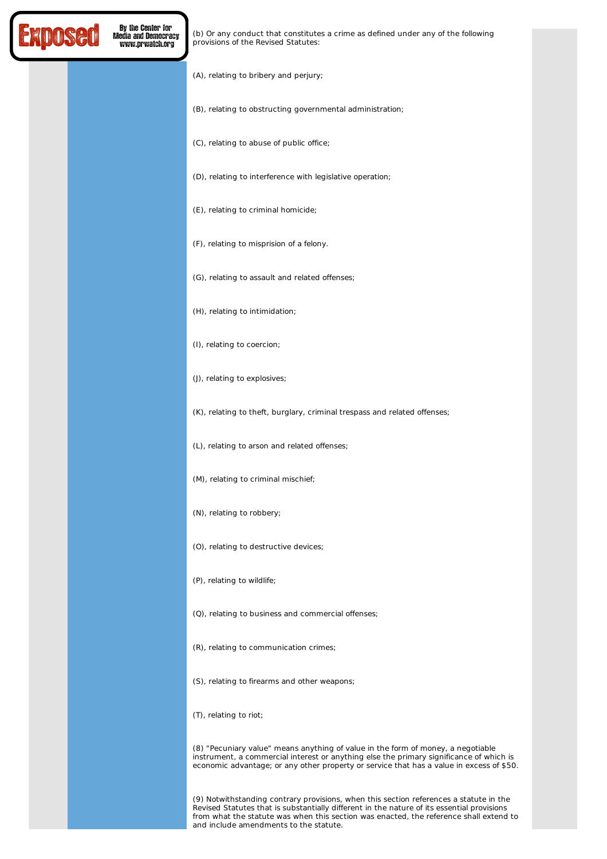

(b) Or any conduct that constitutes a crime as defined under any of the following provisions of the Revised Statutes:

- (A), relating to bribery and perjury;
- (B), relating to obstructing governmental administration;

(C), relating to abuse of public office;

- (D), relating to interference with legislative operation;
- (E), relating to criminal homicide;
- (F), relating to misprision of a felony.
- (G), relating to assault and related offenses;
- (H), relating to intimidation;
- (I), relating to coercion;
- (J), relating to explosives;

(K), relating to theft, burglary, criminal trespass and related offenses;

- (L), relating to arson and related offenses;
- (M), relating to criminal mischief;
- (N), relating to robbery;
- (O), relating to destructive devices;
- (P), relating to wildlife;
- (Q), relating to business and commercial offenses;
- (R), relating to communication crimes;
- (S), relating to firearms and other weapons;
- (T), relating to riot;

(8) "Pecuniary value" means anything of value in the form of money, a negotiable instrument, a commercial interest or anything else the primary significance of which is economic advantage; or any other property or service that has a value in excess of \$50.

(9) Notwithstanding contrary provisions, when this section references a statute in the Revised Statutes that is substantially different in the nature of its essential provisions from what the statute was when this section was enacted, the reference shall extend to and include amendments to the statute.